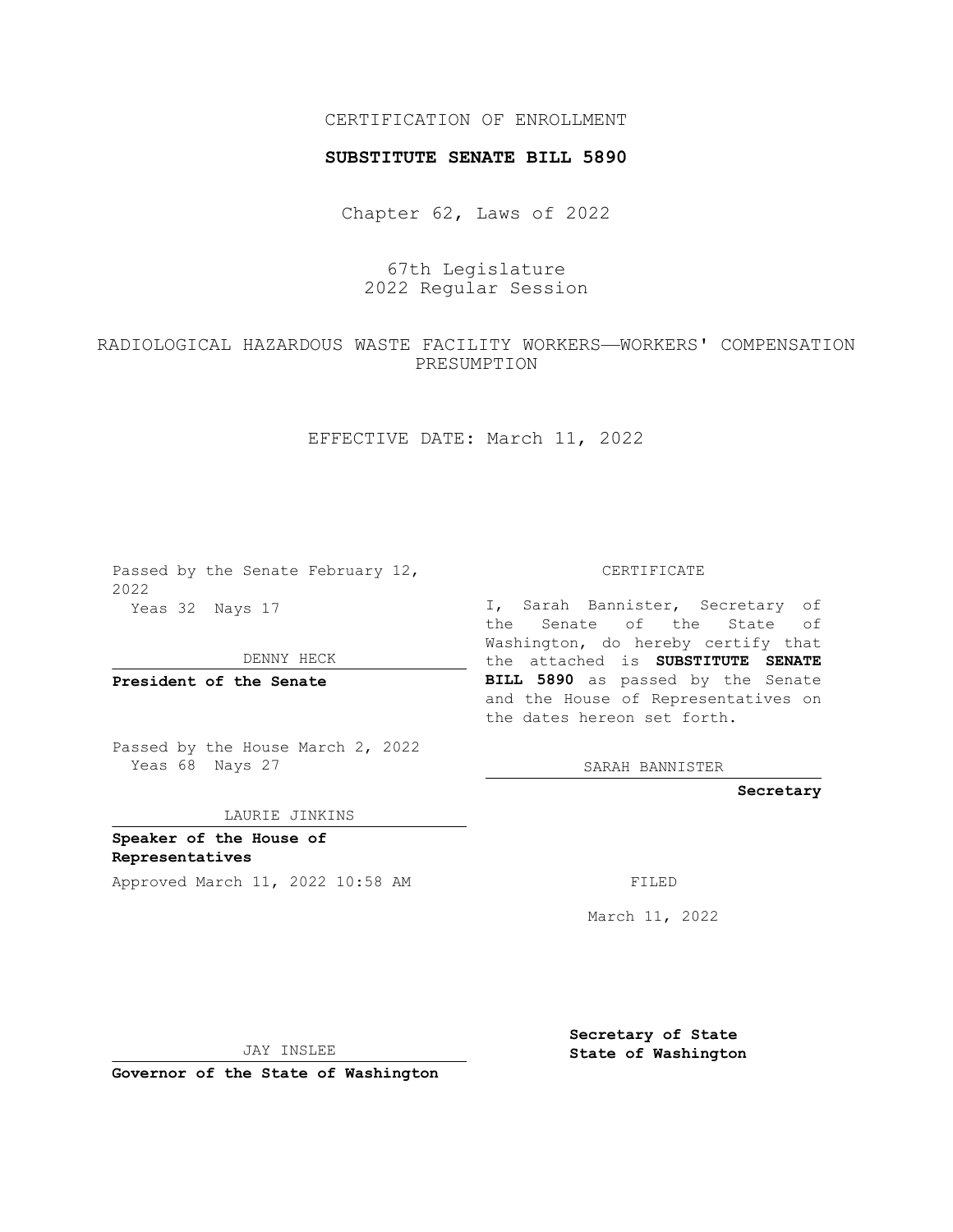## CERTIFICATION OF ENROLLMENT

#### **SUBSTITUTE SENATE BILL 5890**

Chapter 62, Laws of 2022

67th Legislature 2022 Regular Session

RADIOLOGICAL HAZARDOUS WASTE FACILITY WORKERS—WORKERS' COMPENSATION PRESUMPTION

EFFECTIVE DATE: March 11, 2022

Passed by the Senate February 12, 2022 Yeas 32 Nays 17

DENNY HECK

**President of the Senate**

Passed by the House March 2, 2022 Yeas 68 Nays 27

LAURIE JINKINS

**Speaker of the House of Representatives**

Approved March 11, 2022 10:58 AM FILED

CERTIFICATE

I, Sarah Bannister, Secretary of the Senate of the State of Washington, do hereby certify that the attached is **SUBSTITUTE SENATE BILL 5890** as passed by the Senate and the House of Representatives on the dates hereon set forth.

SARAH BANNISTER

**Secretary**

March 11, 2022

JAY INSLEE

**Governor of the State of Washington**

**Secretary of State State of Washington**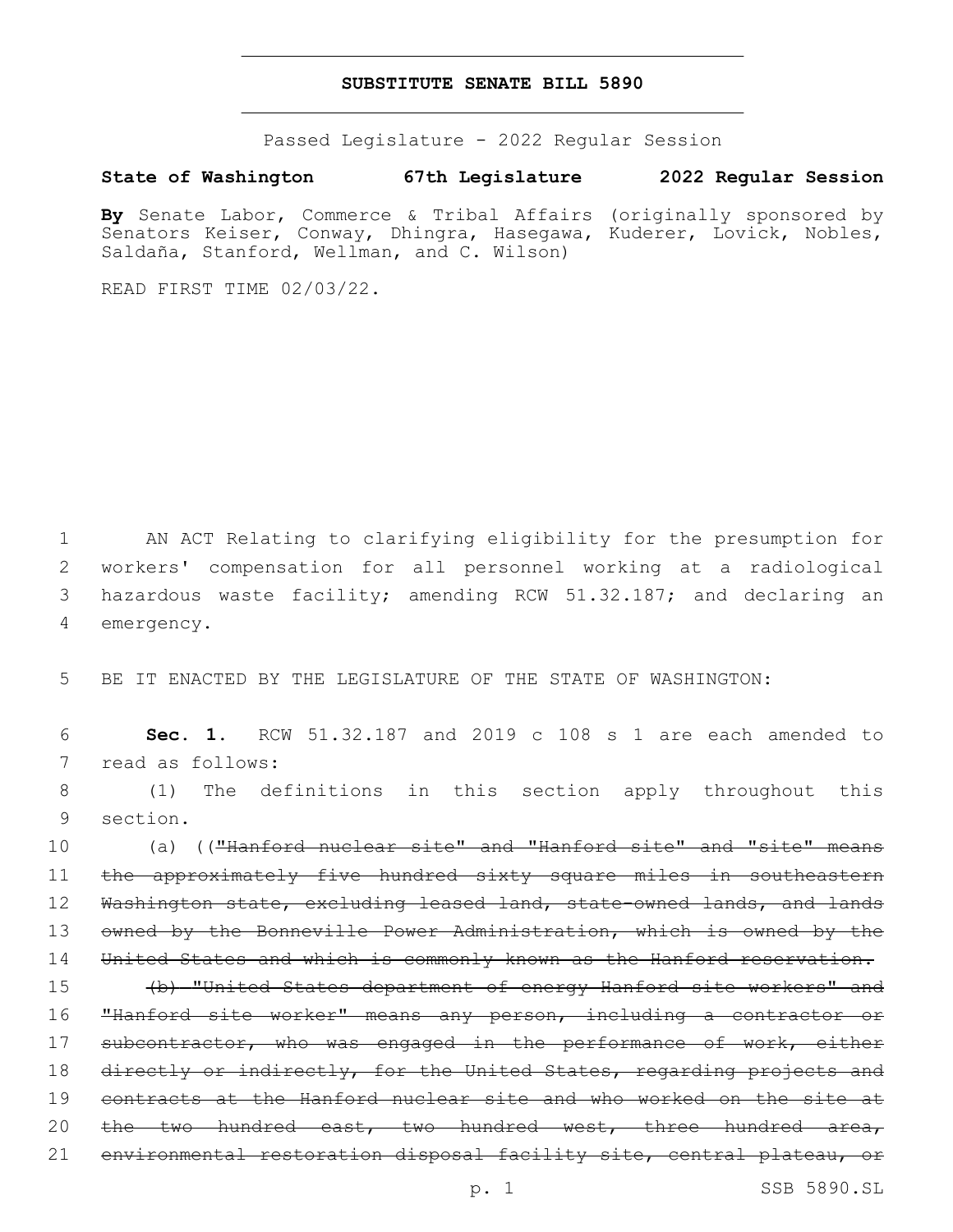#### **SUBSTITUTE SENATE BILL 5890**

Passed Legislature - 2022 Regular Session

### **State of Washington 67th Legislature 2022 Regular Session**

**By** Senate Labor, Commerce & Tribal Affairs (originally sponsored by Senators Keiser, Conway, Dhingra, Hasegawa, Kuderer, Lovick, Nobles, Saldaña, Stanford, Wellman, and C. Wilson)

READ FIRST TIME 02/03/22.

 AN ACT Relating to clarifying eligibility for the presumption for workers' compensation for all personnel working at a radiological hazardous waste facility; amending RCW 51.32.187; and declaring an 4 emergency.

5 BE IT ENACTED BY THE LEGISLATURE OF THE STATE OF WASHINGTON:

6 **Sec. 1.** RCW 51.32.187 and 2019 c 108 s 1 are each amended to 7 read as follows:

8 (1) The definitions in this section apply throughout this 9 section.

10 (a) (("Hanford nuclear site" and "Hanford site" and "site" means 11 the approximately five hundred sixty square miles in southeastern 12 Washington state, excluding leased land, state-owned lands, and lands 13 owned by the Bonneville Power Administration, which is owned by the 14 United States and which is commonly known as the Hanford reservation.

15 (b) "United States department of energy Hanford site workers" and 16 "Hanford site worker" means any person, including a contractor or 17 subcontractor, who was engaged in the performance of work, either 18 directly or indirectly, for the United States, regarding projects and 19 contracts at the Hanford nuclear site and who worked on the site at 20 the two hundred east, two hundred west, three hundred area, 21 environmental restoration disposal facility site, central plateau, or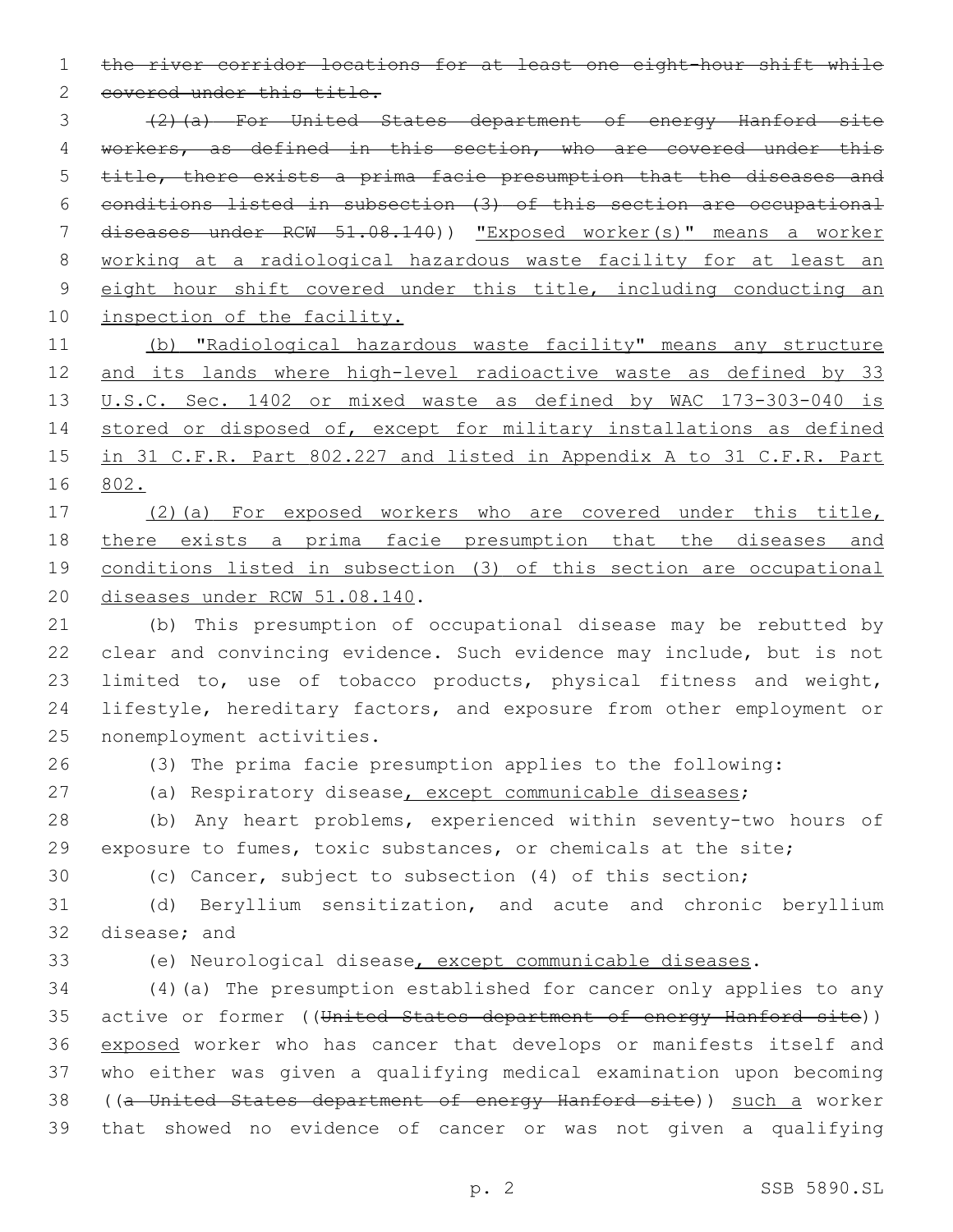the river corridor locations for at least one eight-hour shift while

2 covered under this title.

 (2)(a) For United States department of energy Hanford site 4 workers, as defined in this section, who are covered under this title, there exists a prima facie presumption that the diseases and conditions listed in subsection (3) of this section are occupational diseases under RCW 51.08.140)) "Exposed worker(s)" means a worker working at a radiological hazardous waste facility for at least an eight hour shift covered under this title, including conducting an 10 inspection of the facility.

 (b) "Radiological hazardous waste facility" means any structure 12 and its lands where high-level radioactive waste as defined by 33 U.S.C. Sec. 1402 or mixed waste as defined by WAC 173-303-040 is 14 stored or disposed of, except for military installations as defined in 31 C.F.R. Part 802.227 and listed in Appendix A to 31 C.F.R. Part 802.

 (2)(a) For exposed workers who are covered under this title, there exists a prima facie presumption that the diseases and conditions listed in subsection (3) of this section are occupational 20 diseases under RCW 51.08.140.

 (b) This presumption of occupational disease may be rebutted by clear and convincing evidence. Such evidence may include, but is not 23 limited to, use of tobacco products, physical fitness and weight, lifestyle, hereditary factors, and exposure from other employment or 25 nonemployment activities.

(3) The prima facie presumption applies to the following:

(a) Respiratory disease, except communicable diseases;

 (b) Any heart problems, experienced within seventy-two hours of exposure to fumes, toxic substances, or chemicals at the site;

(c) Cancer, subject to subsection (4) of this section;

 (d) Beryllium sensitization, and acute and chronic beryllium 32 disease; and

(e) Neurological disease, except communicable diseases.

 (4)(a) The presumption established for cancer only applies to any 35 active or former ((United States department of energy Hanford site)) exposed worker who has cancer that develops or manifests itself and who either was given a qualifying medical examination upon becoming ((a United States department of energy Hanford site)) such a worker that showed no evidence of cancer or was not given a qualifying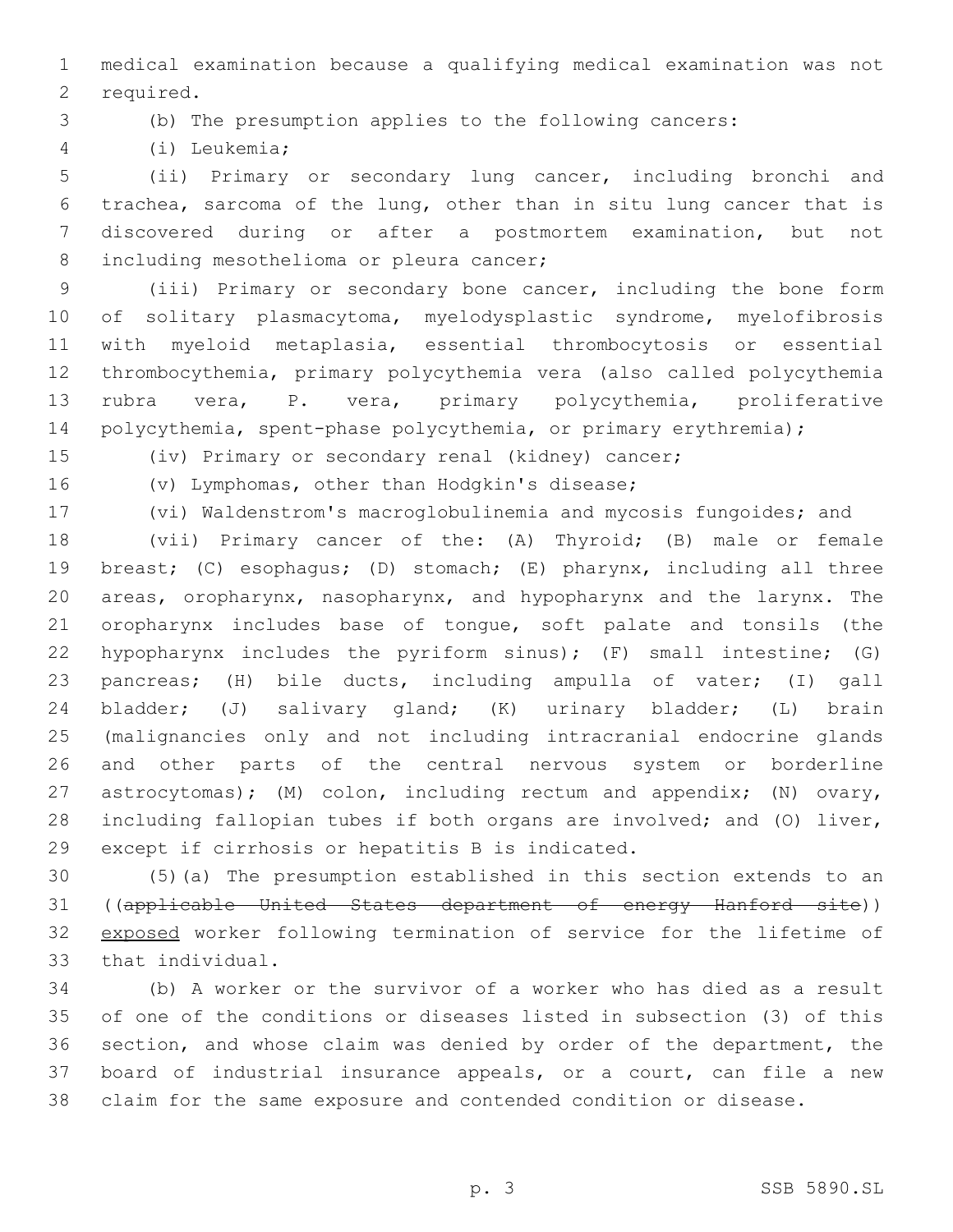medical examination because a qualifying medical examination was not 2 required.

# (b) The presumption applies to the following cancers:

(i) Leukemia;4

 (ii) Primary or secondary lung cancer, including bronchi and trachea, sarcoma of the lung, other than in situ lung cancer that is discovered during or after a postmortem examination, but not 8 including mesothelioma or pleura cancer;

 (iii) Primary or secondary bone cancer, including the bone form of solitary plasmacytoma, myelodysplastic syndrome, myelofibrosis with myeloid metaplasia, essential thrombocytosis or essential thrombocythemia, primary polycythemia vera (also called polycythemia rubra vera, P. vera, primary polycythemia, proliferative 14 polycythemia, spent-phase polycythemia, or primary erythremia);

(iv) Primary or secondary renal (kidney) cancer;

16 (v) Lymphomas, other than Hodgkin's disease;

(vi) Waldenstrom's macroglobulinemia and mycosis fungoides; and

 (vii) Primary cancer of the: (A) Thyroid; (B) male or female breast; (C) esophagus; (D) stomach; (E) pharynx, including all three areas, oropharynx, nasopharynx, and hypopharynx and the larynx. The oropharynx includes base of tongue, soft palate and tonsils (the hypopharynx includes the pyriform sinus); (F) small intestine; (G) pancreas; (H) bile ducts, including ampulla of vater; (I) gall bladder; (J) salivary gland; (K) urinary bladder; (L) brain (malignancies only and not including intracranial endocrine glands and other parts of the central nervous system or borderline astrocytomas); (M) colon, including rectum and appendix; (N) ovary, including fallopian tubes if both organs are involved; and (O) liver, 29 except if cirrhosis or hepatitis B is indicated.

 (5)(a) The presumption established in this section extends to an ((applicable United States department of energy Hanford site)) exposed worker following termination of service for the lifetime of 33 that individual.

 (b) A worker or the survivor of a worker who has died as a result of one of the conditions or diseases listed in subsection (3) of this section, and whose claim was denied by order of the department, the board of industrial insurance appeals, or a court, can file a new claim for the same exposure and contended condition or disease.